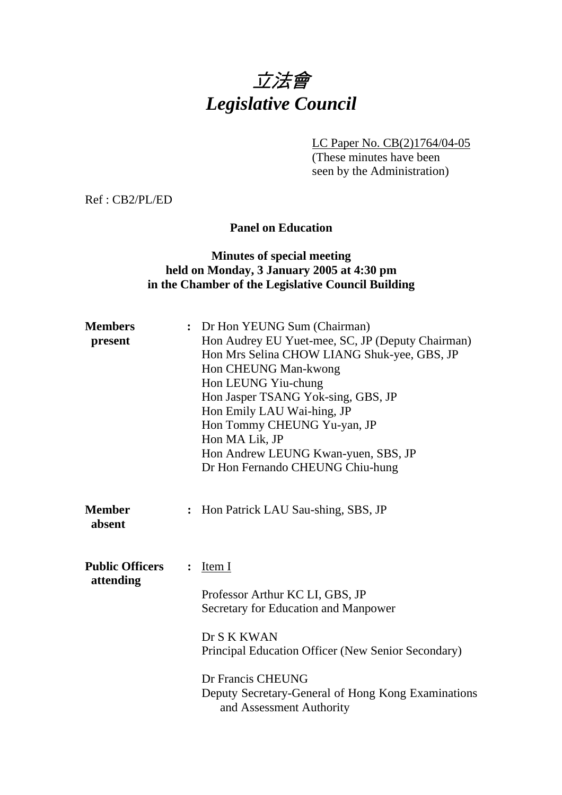

LC Paper No. CB(2)1764/04-05

(These minutes have been seen by the Administration)

Ref : CB2/PL/ED

## **Panel on Education**

## **Minutes of special meeting held on Monday, 3 January 2005 at 4:30 pm in the Chamber of the Legislative Council Building**

| <b>Members</b><br>present           |                | : Dr Hon YEUNG Sum (Chairman)<br>Hon Audrey EU Yuet-mee, SC, JP (Deputy Chairman)<br>Hon Mrs Selina CHOW LIANG Shuk-yee, GBS, JP<br>Hon CHEUNG Man-kwong<br>Hon LEUNG Yiu-chung<br>Hon Jasper TSANG Yok-sing, GBS, JP<br>Hon Emily LAU Wai-hing, JP<br>Hon Tommy CHEUNG Yu-yan, JP<br>Hon MA Lik, JP<br>Hon Andrew LEUNG Kwan-yuen, SBS, JP<br>Dr Hon Fernando CHEUNG Chiu-hung |
|-------------------------------------|----------------|---------------------------------------------------------------------------------------------------------------------------------------------------------------------------------------------------------------------------------------------------------------------------------------------------------------------------------------------------------------------------------|
| <b>Member</b><br>absent             | $\ddot{\cdot}$ | Hon Patrick LAU Sau-shing, SBS, JP                                                                                                                                                                                                                                                                                                                                              |
| <b>Public Officers</b><br>attending | $\ddot{\cdot}$ | Item I<br>Professor Arthur KC LI, GBS, JP<br>Secretary for Education and Manpower<br>Dr S K KWAN<br>Principal Education Officer (New Senior Secondary)<br>Dr Francis CHEUNG<br>Deputy Secretary-General of Hong Kong Examinations<br>and Assessment Authority                                                                                                                   |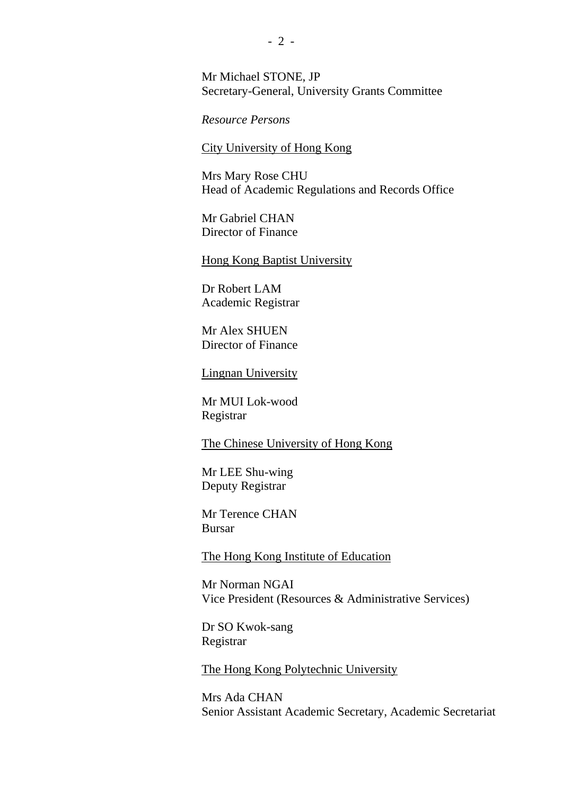Mr Michael STONE, JP Secretary-General, University Grants Committee

*Resource Persons* 

City University of Hong Kong

Mrs Mary Rose CHU Head of Academic Regulations and Records Office

Mr Gabriel CHAN Director of Finance

Hong Kong Baptist University

Dr Robert LAM Academic Registrar

Mr Alex SHUEN Director of Finance

Lingnan University

Mr MUI Lok-wood Registrar

The Chinese University of Hong Kong

Mr LEE Shu-wing Deputy Registrar

Mr Terence CHAN Bursar

The Hong Kong Institute of Education

Mr Norman NGAI Vice President (Resources & Administrative Services)

Dr SO Kwok-sang Registrar

The Hong Kong Polytechnic University

Mrs Ada CHAN Senior Assistant Academic Secretary, Academic Secretariat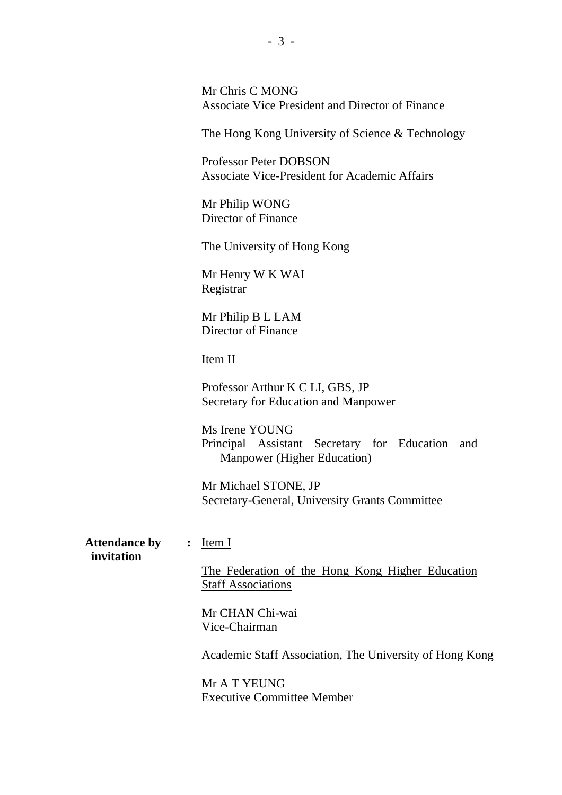Mr Chris C MONG Associate Vice President and Director of Finance

The Hong Kong University of Science & Technology

Professor Peter DOBSON Associate Vice-President for Academic Affairs

Mr Philip WONG Director of Finance

The University of Hong Kong

Mr Henry W K WAI Registrar

Mr Philip B L LAM Director of Finance

## Item II

Professor Arthur K C LI, GBS, JP Secretary for Education and Manpower

Ms Irene YOUNG Principal Assistant Secretary for Education and Manpower (Higher Education)

Mr Michael STONE, JP Secretary-General, University Grants Committee

**Attendance by :** Item I  **invitation** 

The Federation of the Hong Kong Higher Education Staff Associations

Mr CHAN Chi-wai Vice-Chairman

Academic Staff Association, The University of Hong Kong

Mr A T YEUNG Executive Committee Member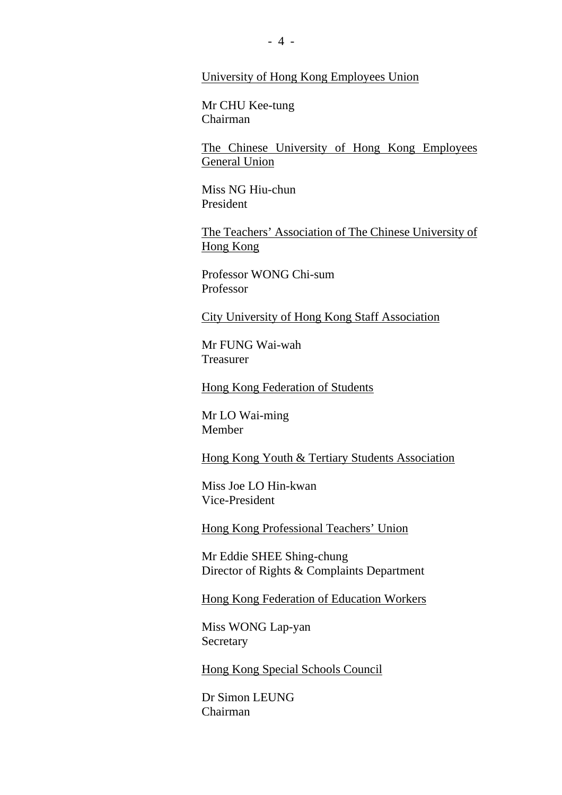### University of Hong Kong Employees Union

Mr CHU Kee-tung Chairman

The Chinese University of Hong Kong Employees General Union

Miss NG Hiu-chun President

The Teachers' Association of The Chinese University of Hong Kong

Professor WONG Chi-sum Professor

City University of Hong Kong Staff Association

Mr FUNG Wai-wah Treasurer

Hong Kong Federation of Students

Mr LO Wai-ming Member

Hong Kong Youth & Tertiary Students Association

Miss Joe LO Hin-kwan Vice-President

Hong Kong Professional Teachers' Union

Mr Eddie SHEE Shing-chung Director of Rights & Complaints Department

Hong Kong Federation of Education Workers

Miss WONG Lap-yan Secretary

Hong Kong Special Schools Council

Dr Simon LEUNG Chairman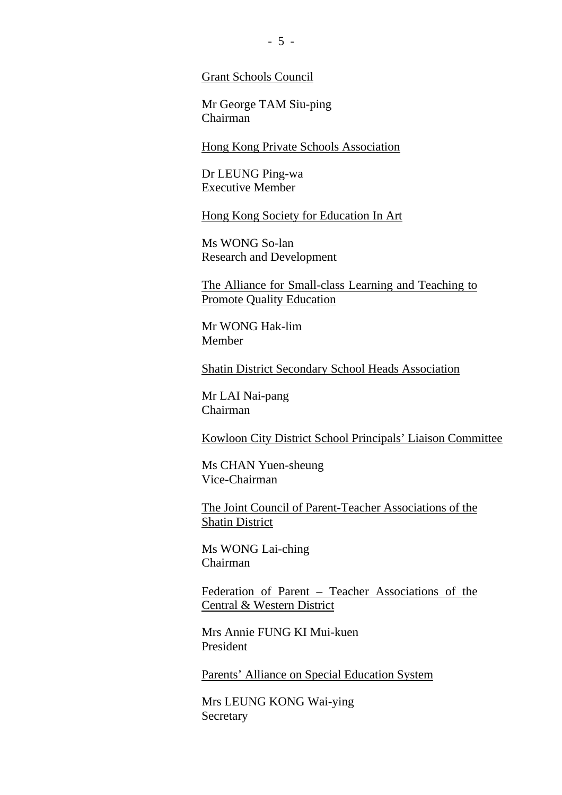Grant Schools Council

Mr George TAM Siu-ping Chairman

Hong Kong Private Schools Association

Dr LEUNG Ping-wa Executive Member

Hong Kong Society for Education In Art

Ms WONG So-lan Research and Development

The Alliance for Small-class Learning and Teaching to Promote Quality Education

Mr WONG Hak-lim Member

Shatin District Secondary School Heads Association

Mr LAI Nai-pang Chairman

Kowloon City District School Principals' Liaison Committee

Ms CHAN Yuen-sheung Vice-Chairman

The Joint Council of Parent-Teacher Associations of the Shatin District

Ms WONG Lai-ching Chairman

Federation of Parent – Teacher Associations of the Central & Western District

Mrs Annie FUNG KI Mui-kuen President

Parents' Alliance on Special Education System

Mrs LEUNG KONG Wai-ying Secretary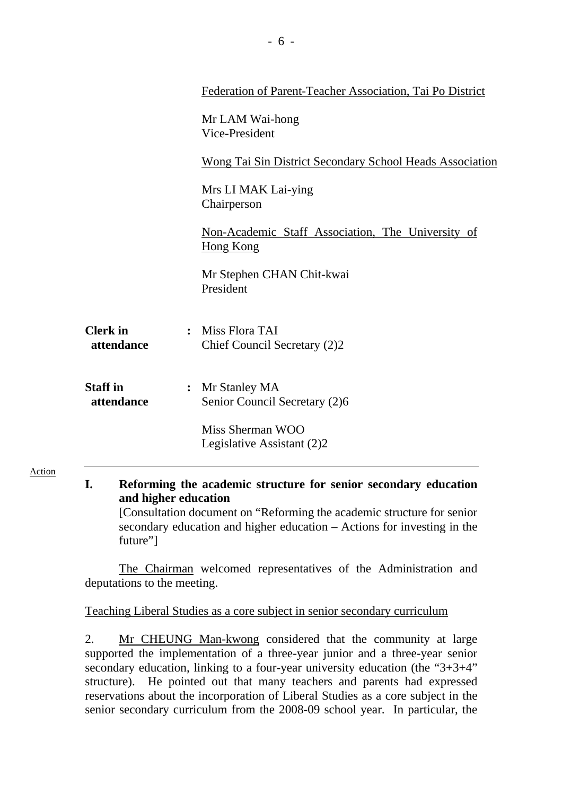|                               | Federation of Parent-Teacher Association, Tai Po District             |
|-------------------------------|-----------------------------------------------------------------------|
|                               | Mr LAM Wai-hong<br>Vice-President                                     |
|                               | <b>Wong Tai Sin District Secondary School Heads Association</b>       |
|                               | Mrs LI MAK Lai-ying<br>Chairperson                                    |
|                               | Non-Academic Staff Association, The University of<br><b>Hong Kong</b> |
|                               | Mr Stephen CHAN Chit-kwai<br>President                                |
| <b>Clerk</b> in<br>attendance | Miss Flora TAI<br>$\ddot{\cdot}$<br>Chief Council Secretary (2)2      |
| <b>Staff</b> in<br>attendance | : Mr Stanley MA<br>Senior Council Secretary (2)6                      |
|                               | Miss Sherman WOO<br>Legislative Assistant (2)2                        |

**I. Reforming the academic structure for senior secondary education and higher education** 

Action

 [Consultation document on "Reforming the academic structure for senior secondary education and higher education – Actions for investing in the future"]

The Chairman welcomed representatives of the Administration and deputations to the meeting.

Teaching Liberal Studies as a core subject in senior secondary curriculum

2. Mr CHEUNG Man-kwong considered that the community at large supported the implementation of a three-year junior and a three-year senior secondary education, linking to a four-year university education (the "3+3+4" structure). He pointed out that many teachers and parents had expressed reservations about the incorporation of Liberal Studies as a core subject in the senior secondary curriculum from the 2008-09 school year. In particular, the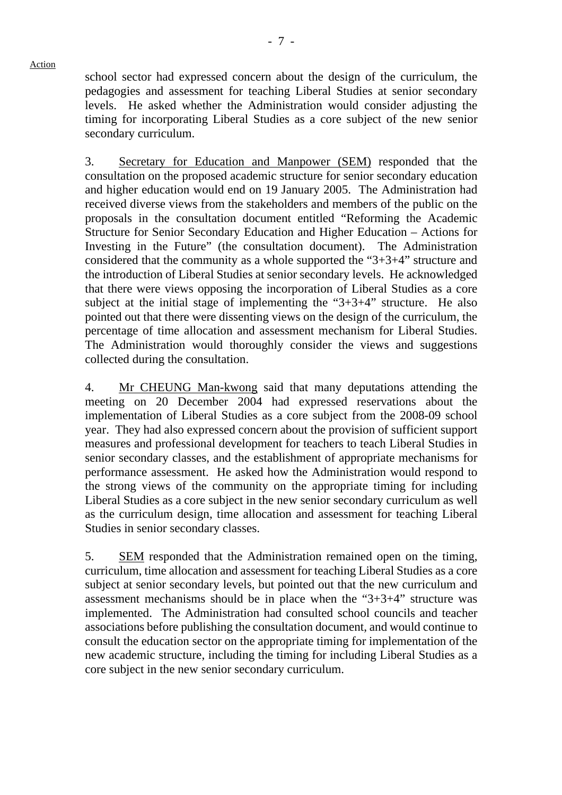school sector had expressed concern about the design of the curriculum, the pedagogies and assessment for teaching Liberal Studies at senior secondary levels. He asked whether the Administration would consider adjusting the timing for incorporating Liberal Studies as a core subject of the new senior secondary curriculum.

3. Secretary for Education and Manpower (SEM) responded that the consultation on the proposed academic structure for senior secondary education and higher education would end on 19 January 2005. The Administration had received diverse views from the stakeholders and members of the public on the proposals in the consultation document entitled "Reforming the Academic Structure for Senior Secondary Education and Higher Education – Actions for Investing in the Future" (the consultation document). The Administration considered that the community as a whole supported the "3+3+4" structure and the introduction of Liberal Studies at senior secondary levels. He acknowledged that there were views opposing the incorporation of Liberal Studies as a core subject at the initial stage of implementing the "3+3+4" structure. He also pointed out that there were dissenting views on the design of the curriculum, the percentage of time allocation and assessment mechanism for Liberal Studies. The Administration would thoroughly consider the views and suggestions collected during the consultation.

4. Mr CHEUNG Man-kwong said that many deputations attending the meeting on 20 December 2004 had expressed reservations about the implementation of Liberal Studies as a core subject from the 2008-09 school year. They had also expressed concern about the provision of sufficient support measures and professional development for teachers to teach Liberal Studies in senior secondary classes, and the establishment of appropriate mechanisms for performance assessment. He asked how the Administration would respond to the strong views of the community on the appropriate timing for including Liberal Studies as a core subject in the new senior secondary curriculum as well as the curriculum design, time allocation and assessment for teaching Liberal Studies in senior secondary classes.

5. SEM responded that the Administration remained open on the timing, curriculum, time allocation and assessment for teaching Liberal Studies as a core subject at senior secondary levels, but pointed out that the new curriculum and assessment mechanisms should be in place when the "3+3+4" structure was implemented. The Administration had consulted school councils and teacher associations before publishing the consultation document, and would continue to consult the education sector on the appropriate timing for implementation of the new academic structure, including the timing for including Liberal Studies as a core subject in the new senior secondary curriculum.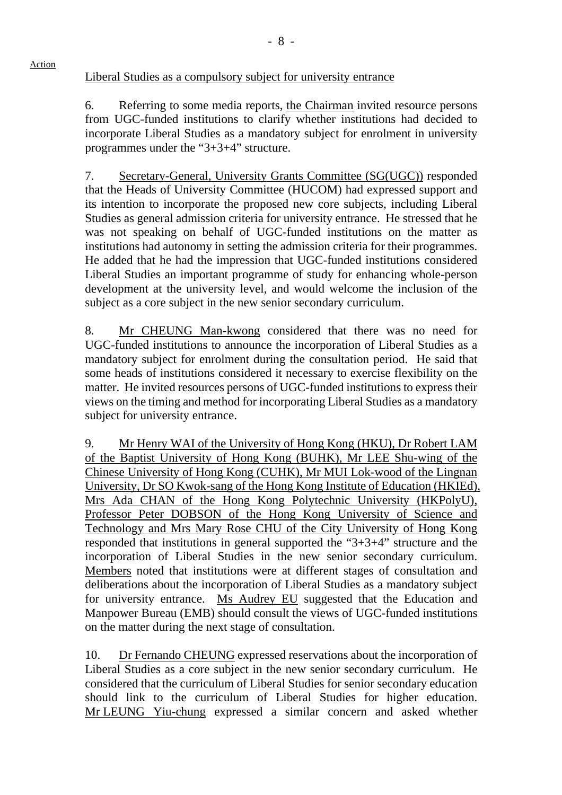Liberal Studies as a compulsory subject for university entrance

6. Referring to some media reports, the Chairman invited resource persons from UGC-funded institutions to clarify whether institutions had decided to incorporate Liberal Studies as a mandatory subject for enrolment in university programmes under the "3+3+4" structure.

7. Secretary-General, University Grants Committee (SG(UGC)) responded that the Heads of University Committee (HUCOM) had expressed support and its intention to incorporate the proposed new core subjects, including Liberal Studies as general admission criteria for university entrance. He stressed that he was not speaking on behalf of UGC-funded institutions on the matter as institutions had autonomy in setting the admission criteria for their programmes. He added that he had the impression that UGC-funded institutions considered Liberal Studies an important programme of study for enhancing whole-person development at the university level, and would welcome the inclusion of the subject as a core subject in the new senior secondary curriculum.

8. Mr CHEUNG Man-kwong considered that there was no need for UGC-funded institutions to announce the incorporation of Liberal Studies as a mandatory subject for enrolment during the consultation period. He said that some heads of institutions considered it necessary to exercise flexibility on the matter. He invited resources persons of UGC-funded institutions to express their views on the timing and method for incorporating Liberal Studies as a mandatory subject for university entrance.

9. Mr Henry WAI of the University of Hong Kong (HKU), Dr Robert LAM of the Baptist University of Hong Kong (BUHK), Mr LEE Shu-wing of the Chinese University of Hong Kong (CUHK), Mr MUI Lok-wood of the Lingnan University, Dr SO Kwok-sang of the Hong Kong Institute of Education (HKIEd), Mrs Ada CHAN of the Hong Kong Polytechnic University (HKPolyU), Professor Peter DOBSON of the Hong Kong University of Science and Technology and Mrs Mary Rose CHU of the City University of Hong Kong responded that institutions in general supported the "3+3+4" structure and the incorporation of Liberal Studies in the new senior secondary curriculum. Members noted that institutions were at different stages of consultation and deliberations about the incorporation of Liberal Studies as a mandatory subject for university entrance. Ms Audrey EU suggested that the Education and Manpower Bureau (EMB) should consult the views of UGC-funded institutions on the matter during the next stage of consultation.

10. Dr Fernando CHEUNG expressed reservations about the incorporation of Liberal Studies as a core subject in the new senior secondary curriculum. He considered that the curriculum of Liberal Studies for senior secondary education should link to the curriculum of Liberal Studies for higher education. Mr LEUNG Yiu-chung expressed a similar concern and asked whether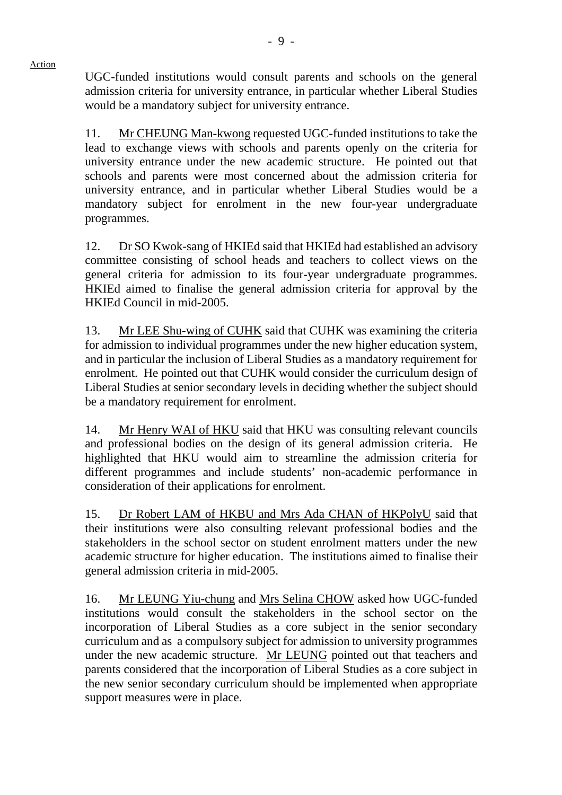UGC-funded institutions would consult parents and schools on the general admission criteria for university entrance, in particular whether Liberal Studies would be a mandatory subject for university entrance.

Action

11. Mr CHEUNG Man-kwong requested UGC-funded institutions to take the lead to exchange views with schools and parents openly on the criteria for university entrance under the new academic structure. He pointed out that schools and parents were most concerned about the admission criteria for university entrance, and in particular whether Liberal Studies would be a mandatory subject for enrolment in the new four-year undergraduate programmes.

12. Dr SO Kwok-sang of HKIEd said that HKIEd had established an advisory committee consisting of school heads and teachers to collect views on the general criteria for admission to its four-year undergraduate programmes. HKIEd aimed to finalise the general admission criteria for approval by the HKIEd Council in mid-2005.

13. Mr LEE Shu-wing of CUHK said that CUHK was examining the criteria for admission to individual programmes under the new higher education system, and in particular the inclusion of Liberal Studies as a mandatory requirement for enrolment. He pointed out that CUHK would consider the curriculum design of Liberal Studies at senior secondary levels in deciding whether the subject should be a mandatory requirement for enrolment.

14. Mr Henry WAI of HKU said that HKU was consulting relevant councils and professional bodies on the design of its general admission criteria. He highlighted that HKU would aim to streamline the admission criteria for different programmes and include students' non-academic performance in consideration of their applications for enrolment.

15. Dr Robert LAM of HKBU and Mrs Ada CHAN of HKPolyU said that their institutions were also consulting relevant professional bodies and the stakeholders in the school sector on student enrolment matters under the new academic structure for higher education. The institutions aimed to finalise their general admission criteria in mid-2005.

16. Mr LEUNG Yiu-chung and Mrs Selina CHOW asked how UGC-funded institutions would consult the stakeholders in the school sector on the incorporation of Liberal Studies as a core subject in the senior secondary curriculum and as a compulsory subject for admission to university programmes under the new academic structure. Mr LEUNG pointed out that teachers and parents considered that the incorporation of Liberal Studies as a core subject in the new senior secondary curriculum should be implemented when appropriate support measures were in place.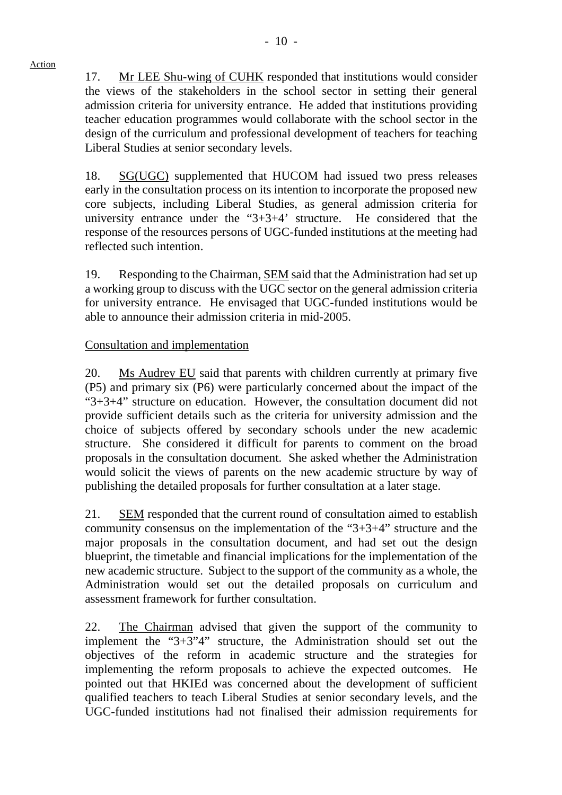17. Mr LEE Shu-wing of CUHK responded that institutions would consider the views of the stakeholders in the school sector in setting their general admission criteria for university entrance. He added that institutions providing teacher education programmes would collaborate with the school sector in the design of the curriculum and professional development of teachers for teaching Liberal Studies at senior secondary levels.

18. SG(UGC) supplemented that HUCOM had issued two press releases early in the consultation process on its intention to incorporate the proposed new core subjects, including Liberal Studies, as general admission criteria for university entrance under the "3+3+4' structure. He considered that the response of the resources persons of UGC-funded institutions at the meeting had reflected such intention.

19. Responding to the Chairman, SEM said that the Administration had set up a working group to discuss with the UGC sector on the general admission criteria for university entrance. He envisaged that UGC-funded institutions would be able to announce their admission criteria in mid-2005.

## Consultation and implementation

20. Ms Audrey EU said that parents with children currently at primary five (P5) and primary six (P6) were particularly concerned about the impact of the "3+3+4" structure on education. However, the consultation document did not provide sufficient details such as the criteria for university admission and the choice of subjects offered by secondary schools under the new academic structure. She considered it difficult for parents to comment on the broad proposals in the consultation document. She asked whether the Administration would solicit the views of parents on the new academic structure by way of publishing the detailed proposals for further consultation at a later stage.

21. SEM responded that the current round of consultation aimed to establish community consensus on the implementation of the "3+3+4" structure and the major proposals in the consultation document, and had set out the design blueprint, the timetable and financial implications for the implementation of the new academic structure. Subject to the support of the community as a whole, the Administration would set out the detailed proposals on curriculum and assessment framework for further consultation.

22. The Chairman advised that given the support of the community to implement the "3+3"4" structure, the Administration should set out the objectives of the reform in academic structure and the strategies for implementing the reform proposals to achieve the expected outcomes. He pointed out that HKIEd was concerned about the development of sufficient qualified teachers to teach Liberal Studies at senior secondary levels, and the UGC-funded institutions had not finalised their admission requirements for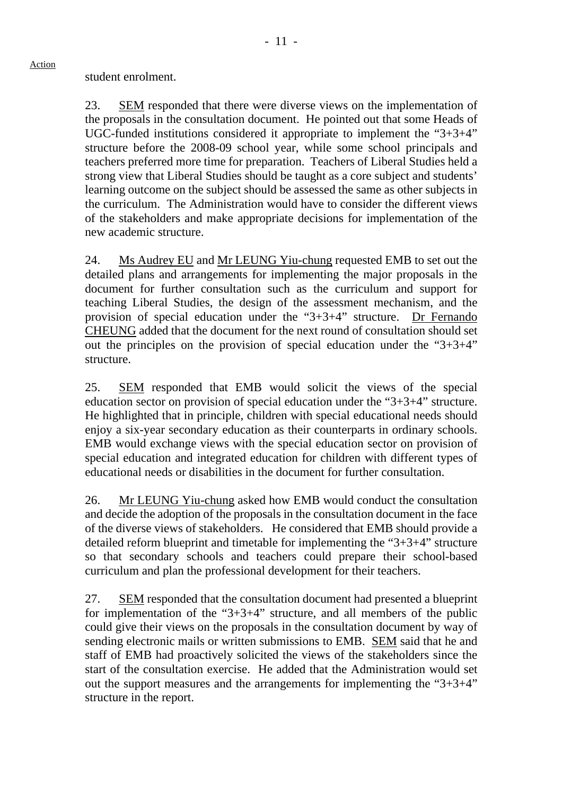student enrolment.

Action

23. SEM responded that there were diverse views on the implementation of the proposals in the consultation document. He pointed out that some Heads of UGC-funded institutions considered it appropriate to implement the "3+3+4" structure before the 2008-09 school year, while some school principals and teachers preferred more time for preparation. Teachers of Liberal Studies held a strong view that Liberal Studies should be taught as a core subject and students' learning outcome on the subject should be assessed the same as other subjects in the curriculum. The Administration would have to consider the different views of the stakeholders and make appropriate decisions for implementation of the new academic structure.

24. Ms Audrey EU and Mr LEUNG Yiu-chung requested EMB to set out the detailed plans and arrangements for implementing the major proposals in the document for further consultation such as the curriculum and support for teaching Liberal Studies, the design of the assessment mechanism, and the provision of special education under the "3+3+4" structure. Dr Fernando CHEUNG added that the document for the next round of consultation should set out the principles on the provision of special education under the "3+3+4" structure.

25. SEM responded that EMB would solicit the views of the special education sector on provision of special education under the "3+3+4" structure. He highlighted that in principle, children with special educational needs should enjoy a six-year secondary education as their counterparts in ordinary schools. EMB would exchange views with the special education sector on provision of special education and integrated education for children with different types of educational needs or disabilities in the document for further consultation.

26. Mr LEUNG Yiu-chung asked how EMB would conduct the consultation and decide the adoption of the proposals in the consultation document in the face of the diverse views of stakeholders. He considered that EMB should provide a detailed reform blueprint and timetable for implementing the "3+3+4" structure so that secondary schools and teachers could prepare their school-based curriculum and plan the professional development for their teachers.

27. SEM responded that the consultation document had presented a blueprint for implementation of the "3+3+4" structure, and all members of the public could give their views on the proposals in the consultation document by way of sending electronic mails or written submissions to EMB. SEM said that he and staff of EMB had proactively solicited the views of the stakeholders since the start of the consultation exercise. He added that the Administration would set out the support measures and the arrangements for implementing the "3+3+4" structure in the report.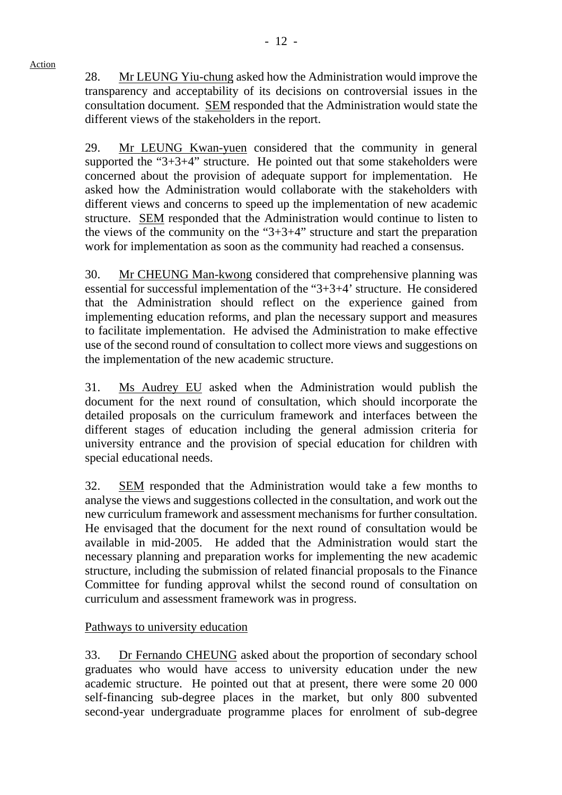28. Mr LEUNG Yiu-chung asked how the Administration would improve the transparency and acceptability of its decisions on controversial issues in the consultation document. SEM responded that the Administration would state the different views of the stakeholders in the report.

29. Mr LEUNG Kwan-yuen considered that the community in general supported the " $3+3+4$ " structure. He pointed out that some stakeholders were concerned about the provision of adequate support for implementation. He asked how the Administration would collaborate with the stakeholders with different views and concerns to speed up the implementation of new academic structure. SEM responded that the Administration would continue to listen to the views of the community on the "3+3+4" structure and start the preparation work for implementation as soon as the community had reached a consensus.

30. Mr CHEUNG Man-kwong considered that comprehensive planning was essential for successful implementation of the "3+3+4' structure. He considered that the Administration should reflect on the experience gained from implementing education reforms, and plan the necessary support and measures to facilitate implementation. He advised the Administration to make effective use of the second round of consultation to collect more views and suggestions on the implementation of the new academic structure.

31. Ms Audrey EU asked when the Administration would publish the document for the next round of consultation, which should incorporate the detailed proposals on the curriculum framework and interfaces between the different stages of education including the general admission criteria for university entrance and the provision of special education for children with special educational needs.

32. SEM responded that the Administration would take a few months to analyse the views and suggestions collected in the consultation, and work out the new curriculum framework and assessment mechanisms for further consultation. He envisaged that the document for the next round of consultation would be available in mid-2005. He added that the Administration would start the necessary planning and preparation works for implementing the new academic structure, including the submission of related financial proposals to the Finance Committee for funding approval whilst the second round of consultation on curriculum and assessment framework was in progress.

# Pathways to university education

33. Dr Fernando CHEUNG asked about the proportion of secondary school graduates who would have access to university education under the new academic structure. He pointed out that at present, there were some 20 000 self-financing sub-degree places in the market, but only 800 subvented second-year undergraduate programme places for enrolment of sub-degree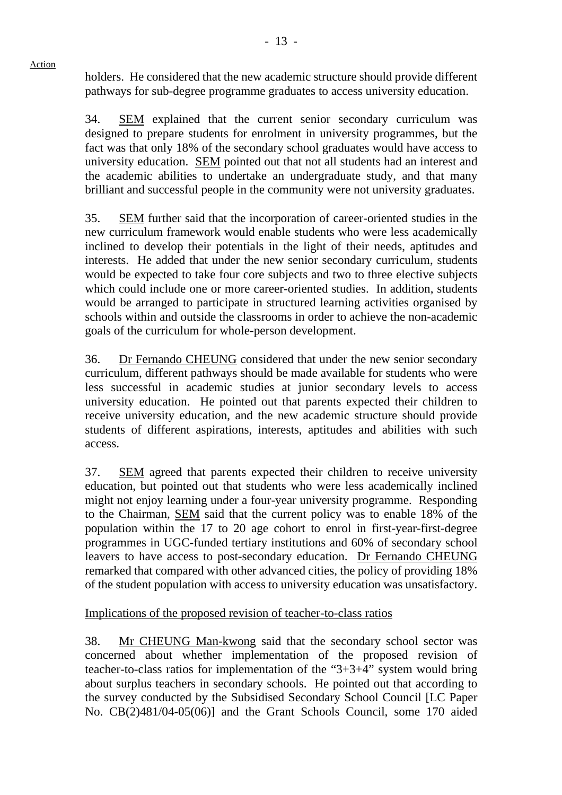holders. He considered that the new academic structure should provide different pathways for sub-degree programme graduates to access university education.

34. SEM explained that the current senior secondary curriculum was designed to prepare students for enrolment in university programmes, but the fact was that only 18% of the secondary school graduates would have access to university education. SEM pointed out that not all students had an interest and the academic abilities to undertake an undergraduate study, and that many brilliant and successful people in the community were not university graduates.

35. SEM further said that the incorporation of career-oriented studies in the new curriculum framework would enable students who were less academically inclined to develop their potentials in the light of their needs, aptitudes and interests. He added that under the new senior secondary curriculum, students would be expected to take four core subjects and two to three elective subjects which could include one or more career-oriented studies. In addition, students would be arranged to participate in structured learning activities organised by schools within and outside the classrooms in order to achieve the non-academic goals of the curriculum for whole-person development.

36. Dr Fernando CHEUNG considered that under the new senior secondary curriculum, different pathways should be made available for students who were less successful in academic studies at junior secondary levels to access university education. He pointed out that parents expected their children to receive university education, and the new academic structure should provide students of different aspirations, interests, aptitudes and abilities with such access.

37. SEM agreed that parents expected their children to receive university education, but pointed out that students who were less academically inclined might not enjoy learning under a four-year university programme. Responding to the Chairman, SEM said that the current policy was to enable 18% of the population within the 17 to 20 age cohort to enrol in first-year-first-degree programmes in UGC-funded tertiary institutions and 60% of secondary school leavers to have access to post-secondary education. Dr Fernando CHEUNG remarked that compared with other advanced cities, the policy of providing 18% of the student population with access to university education was unsatisfactory.

Implications of the proposed revision of teacher-to-class ratios

38. Mr CHEUNG Man-kwong said that the secondary school sector was concerned about whether implementation of the proposed revision of teacher-to-class ratios for implementation of the "3+3+4" system would bring about surplus teachers in secondary schools. He pointed out that according to the survey conducted by the Subsidised Secondary School Council [LC Paper No. CB(2)481/04-05(06)] and the Grant Schools Council, some 170 aided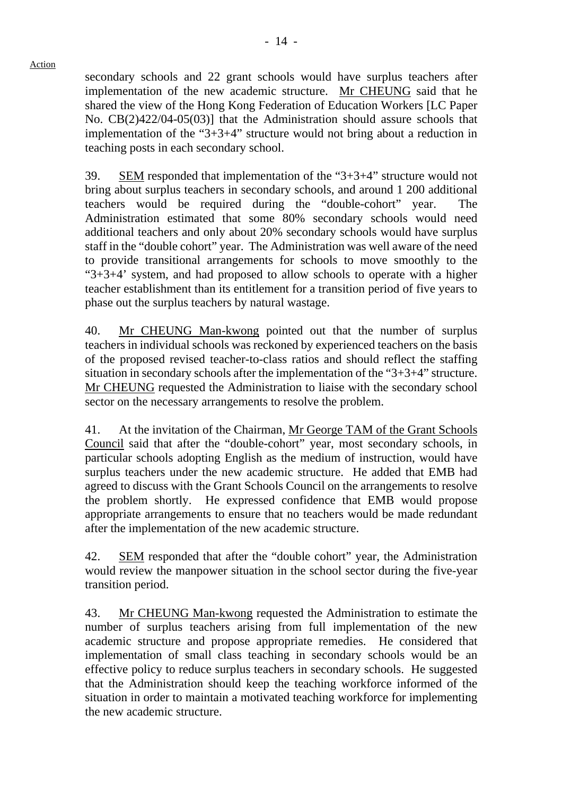secondary schools and 22 grant schools would have surplus teachers after implementation of the new academic structure. Mr CHEUNG said that he shared the view of the Hong Kong Federation of Education Workers [LC Paper No. CB(2)422/04-05(03)] that the Administration should assure schools that implementation of the "3+3+4" structure would not bring about a reduction in teaching posts in each secondary school.

39. SEM responded that implementation of the "3+3+4" structure would not bring about surplus teachers in secondary schools, and around 1 200 additional teachers would be required during the "double-cohort" year. The Administration estimated that some 80% secondary schools would need additional teachers and only about 20% secondary schools would have surplus staff in the "double cohort" year. The Administration was well aware of the need to provide transitional arrangements for schools to move smoothly to the " $3+3+4$ " system, and had proposed to allow schools to operate with a higher teacher establishment than its entitlement for a transition period of five years to phase out the surplus teachers by natural wastage.

40. Mr CHEUNG Man-kwong pointed out that the number of surplus teachers in individual schools was reckoned by experienced teachers on the basis of the proposed revised teacher-to-class ratios and should reflect the staffing situation in secondary schools after the implementation of the "3+3+4" structure. Mr CHEUNG requested the Administration to liaise with the secondary school sector on the necessary arrangements to resolve the problem.

41. At the invitation of the Chairman, Mr George TAM of the Grant Schools Council said that after the "double-cohort" year, most secondary schools, in particular schools adopting English as the medium of instruction, would have surplus teachers under the new academic structure. He added that EMB had agreed to discuss with the Grant Schools Council on the arrangements to resolve the problem shortly. He expressed confidence that EMB would propose appropriate arrangements to ensure that no teachers would be made redundant after the implementation of the new academic structure.

42. SEM responded that after the "double cohort" year, the Administration would review the manpower situation in the school sector during the five-year transition period.

43. Mr CHEUNG Man-kwong requested the Administration to estimate the number of surplus teachers arising from full implementation of the new academic structure and propose appropriate remedies. He considered that implementation of small class teaching in secondary schools would be an effective policy to reduce surplus teachers in secondary schools. He suggested that the Administration should keep the teaching workforce informed of the situation in order to maintain a motivated teaching workforce for implementing the new academic structure.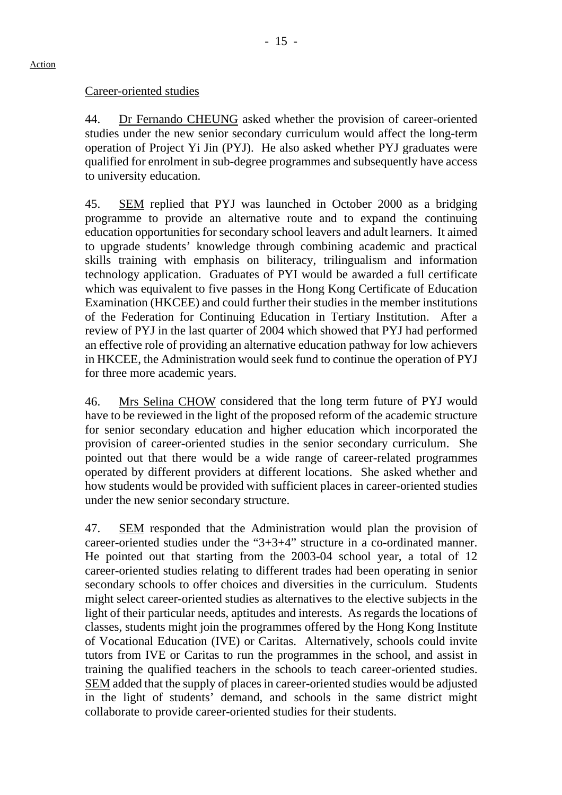## Career-oriented studies

44. Dr Fernando CHEUNG asked whether the provision of career-oriented studies under the new senior secondary curriculum would affect the long-term operation of Project Yi Jin (PYJ). He also asked whether PYJ graduates were qualified for enrolment in sub-degree programmes and subsequently have access to university education.

45. SEM replied that PYJ was launched in October 2000 as a bridging programme to provide an alternative route and to expand the continuing education opportunities for secondary school leavers and adult learners. It aimed to upgrade students' knowledge through combining academic and practical skills training with emphasis on biliteracy, trilingualism and information technology application. Graduates of PYI would be awarded a full certificate which was equivalent to five passes in the Hong Kong Certificate of Education Examination (HKCEE) and could further their studies in the member institutions of the Federation for Continuing Education in Tertiary Institution. After a review of PYJ in the last quarter of 2004 which showed that PYJ had performed an effective role of providing an alternative education pathway for low achievers in HKCEE, the Administration would seek fund to continue the operation of PYJ for three more academic years.

46. Mrs Selina CHOW considered that the long term future of PYJ would have to be reviewed in the light of the proposed reform of the academic structure for senior secondary education and higher education which incorporated the provision of career-oriented studies in the senior secondary curriculum. She pointed out that there would be a wide range of career-related programmes operated by different providers at different locations. She asked whether and how students would be provided with sufficient places in career-oriented studies under the new senior secondary structure.

47. SEM responded that the Administration would plan the provision of career-oriented studies under the "3+3+4" structure in a co-ordinated manner. He pointed out that starting from the 2003-04 school year, a total of 12 career-oriented studies relating to different trades had been operating in senior secondary schools to offer choices and diversities in the curriculum. Students might select career-oriented studies as alternatives to the elective subjects in the light of their particular needs, aptitudes and interests. As regards the locations of classes, students might join the programmes offered by the Hong Kong Institute of Vocational Education (IVE) or Caritas. Alternatively, schools could invite tutors from IVE or Caritas to run the programmes in the school, and assist in training the qualified teachers in the schools to teach career-oriented studies. SEM added that the supply of places in career-oriented studies would be adjusted in the light of students' demand, and schools in the same district might collaborate to provide career-oriented studies for their students.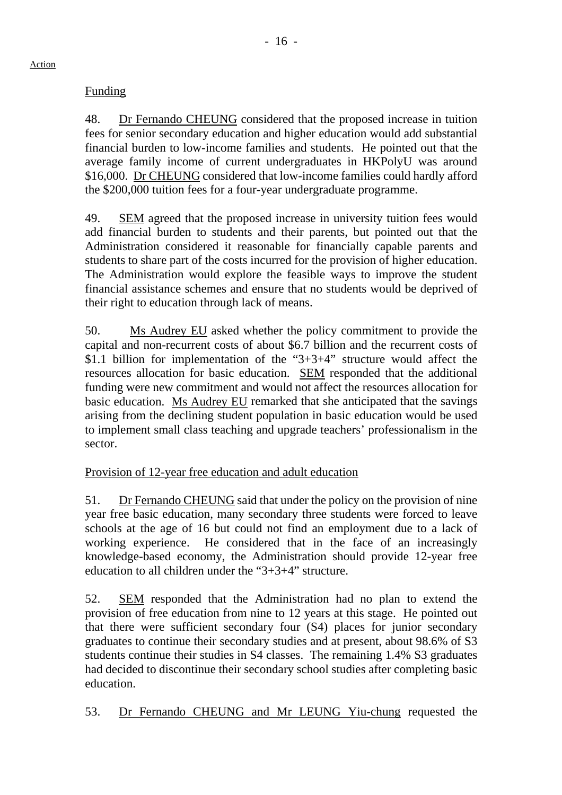# Funding

48. Dr Fernando CHEUNG considered that the proposed increase in tuition fees for senior secondary education and higher education would add substantial financial burden to low-income families and students. He pointed out that the average family income of current undergraduates in HKPolyU was around \$16,000. Dr CHEUNG considered that low-income families could hardly afford the \$200,000 tuition fees for a four-year undergraduate programme.

49. SEM agreed that the proposed increase in university tuition fees would add financial burden to students and their parents, but pointed out that the Administration considered it reasonable for financially capable parents and students to share part of the costs incurred for the provision of higher education. The Administration would explore the feasible ways to improve the student financial assistance schemes and ensure that no students would be deprived of their right to education through lack of means.

50. Ms Audrey EU asked whether the policy commitment to provide the capital and non-recurrent costs of about \$6.7 billion and the recurrent costs of \$1.1 billion for implementation of the "3+3+4" structure would affect the resources allocation for basic education. SEM responded that the additional funding were new commitment and would not affect the resources allocation for basic education. Ms Audrey EU remarked that she anticipated that the savings arising from the declining student population in basic education would be used to implement small class teaching and upgrade teachers' professionalism in the sector.

# Provision of 12-year free education and adult education

51. Dr Fernando CHEUNG said that under the policy on the provision of nine year free basic education, many secondary three students were forced to leave schools at the age of 16 but could not find an employment due to a lack of working experience. He considered that in the face of an increasingly knowledge-based economy, the Administration should provide 12-year free education to all children under the "3+3+4" structure.

52. SEM responded that the Administration had no plan to extend the provision of free education from nine to 12 years at this stage. He pointed out that there were sufficient secondary four (S4) places for junior secondary graduates to continue their secondary studies and at present, about 98.6% of S3 students continue their studies in S4 classes. The remaining 1.4% S3 graduates had decided to discontinue their secondary school studies after completing basic education.

53. Dr Fernando CHEUNG and Mr LEUNG Yiu-chung requested the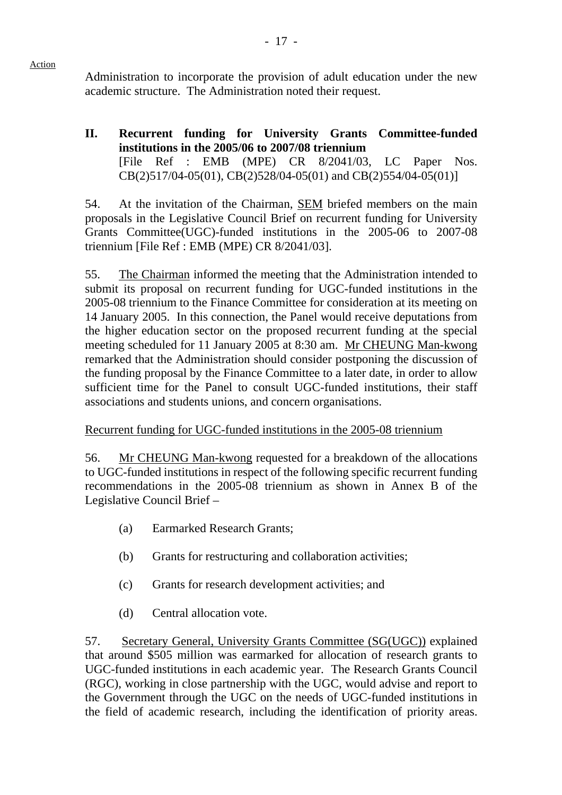Administration to incorporate the provision of adult education under the new academic structure. The Administration noted their request.

**II. Recurrent funding for University Grants Committee-funded institutions in the 2005/06 to 2007/08 triennium**  [File Ref : EMB (MPE) CR 8/2041/03, LC Paper Nos. CB(2)517/04-05(01), CB(2)528/04-05(01) and CB(2)554/04-05(01)]

54. At the invitation of the Chairman, SEM briefed members on the main proposals in the Legislative Council Brief on recurrent funding for University Grants Committee(UGC)-funded institutions in the 2005-06 to 2007-08 triennium [File Ref : EMB (MPE) CR 8/2041/03].

55. The Chairman informed the meeting that the Administration intended to submit its proposal on recurrent funding for UGC-funded institutions in the 2005-08 triennium to the Finance Committee for consideration at its meeting on 14 January 2005. In this connection, the Panel would receive deputations from the higher education sector on the proposed recurrent funding at the special meeting scheduled for 11 January 2005 at 8:30 am. Mr CHEUNG Man-kwong remarked that the Administration should consider postponing the discussion of the funding proposal by the Finance Committee to a later date, in order to allow sufficient time for the Panel to consult UGC-funded institutions, their staff associations and students unions, and concern organisations.

# Recurrent funding for UGC-funded institutions in the 2005-08 triennium

56. Mr CHEUNG Man-kwong requested for a breakdown of the allocations to UGC-funded institutions in respect of the following specific recurrent funding recommendations in the 2005-08 triennium as shown in Annex B of the Legislative Council Brief –

- (a) Earmarked Research Grants;
- (b) Grants for restructuring and collaboration activities;
- (c) Grants for research development activities; and
- (d) Central allocation vote.

57. Secretary General, University Grants Committee (SG(UGC)) explained that around \$505 million was earmarked for allocation of research grants to UGC-funded institutions in each academic year. The Research Grants Council (RGC), working in close partnership with the UGC, would advise and report to the Government through the UGC on the needs of UGC-funded institutions in the field of academic research, including the identification of priority areas.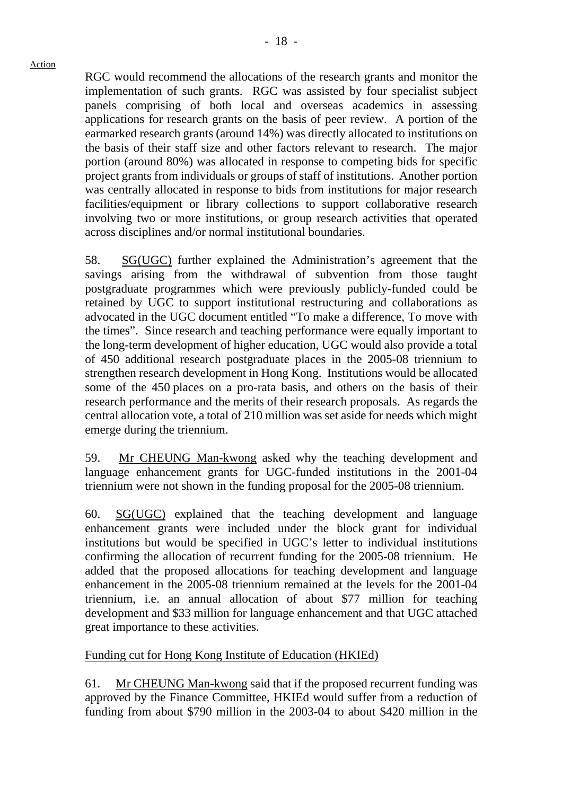RGC would recommend the allocations of the research grants and monitor the implementation of such grants. RGC was assisted by four specialist subject panels comprising of both local and overseas academics in assessing applications for research grants on the basis of peer review. A portion of the earmarked research grants (around 14%) was directly allocated to institutions on the basis of their staff size and other factors relevant to research. The major portion (around 80%) was allocated in response to competing bids for specific project grants from individuals or groups of staff of institutions. Another portion was centrally allocated in response to bids from institutions for major research facilities/equipment or library collections to support collaborative research involving two or more institutions, or group research activities that operated across disciplines and/or normal institutional boundaries.

58. SG(UGC) further explained the Administration's agreement that the savings arising from the withdrawal of subvention from those taught postgraduate programmes which were previously publicly-funded could be retained by UGC to support institutional restructuring and collaborations as advocated in the UGC document entitled "To make a difference, To move with the times". Since research and teaching performance were equally important to the long-term development of higher education, UGC would also provide a total of 450 additional research postgraduate places in the 2005-08 triennium to strengthen research development in Hong Kong. Institutions would be allocated some of the 450 places on a pro-rata basis, and others on the basis of their research performance and the merits of their research proposals. As regards the central allocation vote, a total of 210 million was set aside for needs which might emerge during the triennium.

59. Mr CHEUNG Man-kwong asked why the teaching development and language enhancement grants for UGC-funded institutions in the 2001-04 triennium were not shown in the funding proposal for the 2005-08 triennium.

60. SG(UGC) explained that the teaching development and language enhancement grants were included under the block grant for individual institutions but would be specified in UGC's letter to individual institutions confirming the allocation of recurrent funding for the 2005-08 triennium. He added that the proposed allocations for teaching development and language enhancement in the 2005-08 triennium remained at the levels for the 2001-04 triennium, i.e. an annual allocation of about \$77 million for teaching development and \$33 million for language enhancement and that UGC attached great importance to these activities.

# Funding cut for Hong Kong Institute of Education (HKIEd)

61. Mr CHEUNG Man-kwong said that if the proposed recurrent funding was approved by the Finance Committee, HKIEd would suffer from a reduction of funding from about \$790 million in the 2003-04 to about \$420 million in the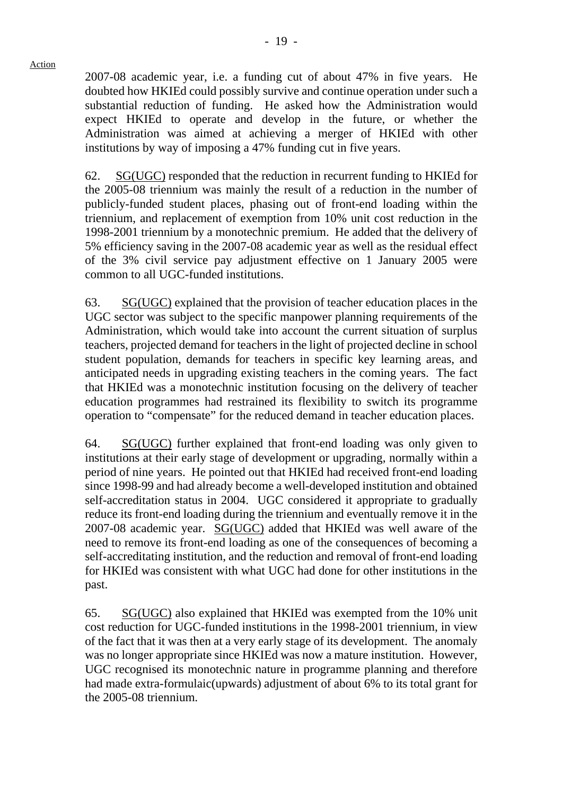2007-08 academic year, i.e. a funding cut of about 47% in five years. He doubted how HKIEd could possibly survive and continue operation under such a substantial reduction of funding. He asked how the Administration would expect HKIEd to operate and develop in the future, or whether the Administration was aimed at achieving a merger of HKIEd with other institutions by way of imposing a 47% funding cut in five years.

62. SG(UGC) responded that the reduction in recurrent funding to HKIEd for the 2005-08 triennium was mainly the result of a reduction in the number of publicly-funded student places, phasing out of front-end loading within the triennium, and replacement of exemption from 10% unit cost reduction in the 1998-2001 triennium by a monotechnic premium. He added that the delivery of 5% efficiency saving in the 2007-08 academic year as well as the residual effect of the 3% civil service pay adjustment effective on 1 January 2005 were common to all UGC-funded institutions.

63. SG(UGC) explained that the provision of teacher education places in the UGC sector was subject to the specific manpower planning requirements of the Administration, which would take into account the current situation of surplus teachers, projected demand for teachers in the light of projected decline in school student population, demands for teachers in specific key learning areas, and anticipated needs in upgrading existing teachers in the coming years. The fact that HKIEd was a monotechnic institution focusing on the delivery of teacher education programmes had restrained its flexibility to switch its programme operation to "compensate" for the reduced demand in teacher education places.

64. SG(UGC) further explained that front-end loading was only given to institutions at their early stage of development or upgrading, normally within a period of nine years. He pointed out that HKIEd had received front-end loading since 1998-99 and had already become a well-developed institution and obtained self-accreditation status in 2004. UGC considered it appropriate to gradually reduce its front-end loading during the triennium and eventually remove it in the 2007-08 academic year. SG(UGC) added that HKIEd was well aware of the need to remove its front-end loading as one of the consequences of becoming a self-accreditating institution, and the reduction and removal of front-end loading for HKIEd was consistent with what UGC had done for other institutions in the past.

65. SG(UGC) also explained that HKIEd was exempted from the 10% unit cost reduction for UGC-funded institutions in the 1998-2001 triennium, in view of the fact that it was then at a very early stage of its development. The anomaly was no longer appropriate since HKIEd was now a mature institution. However, UGC recognised its monotechnic nature in programme planning and therefore had made extra-formulaic(upwards) adjustment of about 6% to its total grant for the 2005-08 triennium.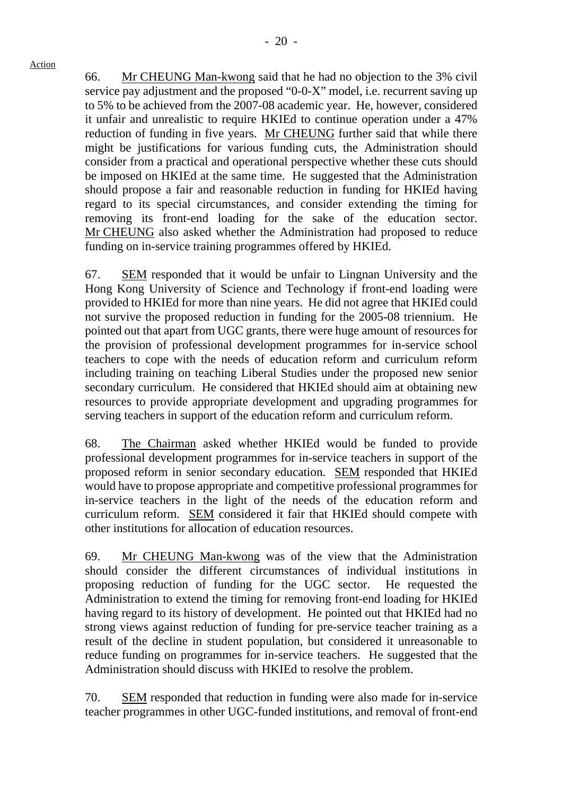66. Mr CHEUNG Man-kwong said that he had no objection to the 3% civil service pay adjustment and the proposed "0-0-X" model, i.e. recurrent saving up to 5% to be achieved from the 2007-08 academic year. He, however, considered it unfair and unrealistic to require HKIEd to continue operation under a 47% reduction of funding in five years. Mr CHEUNG further said that while there might be justifications for various funding cuts, the Administration should consider from a practical and operational perspective whether these cuts should be imposed on HKIEd at the same time. He suggested that the Administration should propose a fair and reasonable reduction in funding for HKIEd having regard to its special circumstances, and consider extending the timing for removing its front-end loading for the sake of the education sector. Mr CHEUNG also asked whether the Administration had proposed to reduce funding on in-service training programmes offered by HKIEd.

67. SEM responded that it would be unfair to Lingnan University and the Hong Kong University of Science and Technology if front-end loading were provided to HKIEd for more than nine years. He did not agree that HKIEd could not survive the proposed reduction in funding for the 2005-08 triennium. He pointed out that apart from UGC grants, there were huge amount of resources for the provision of professional development programmes for in-service school teachers to cope with the needs of education reform and curriculum reform including training on teaching Liberal Studies under the proposed new senior secondary curriculum. He considered that HKIEd should aim at obtaining new resources to provide appropriate development and upgrading programmes for serving teachers in support of the education reform and curriculum reform.

68. The Chairman asked whether HKIEd would be funded to provide professional development programmes for in-service teachers in support of the proposed reform in senior secondary education. SEM responded that HKIEd would have to propose appropriate and competitive professional programmes for in-service teachers in the light of the needs of the education reform and curriculum reform. SEM considered it fair that HKIEd should compete with other institutions for allocation of education resources.

69. Mr CHEUNG Man-kwong was of the view that the Administration should consider the different circumstances of individual institutions in proposing reduction of funding for the UGC sector. He requested the Administration to extend the timing for removing front-end loading for HKIEd having regard to its history of development. He pointed out that HKIEd had no strong views against reduction of funding for pre-service teacher training as a result of the decline in student population, but considered it unreasonable to reduce funding on programmes for in-service teachers. He suggested that the Administration should discuss with HKIEd to resolve the problem.

70. SEM responded that reduction in funding were also made for in-service teacher programmes in other UGC-funded institutions, and removal of front-end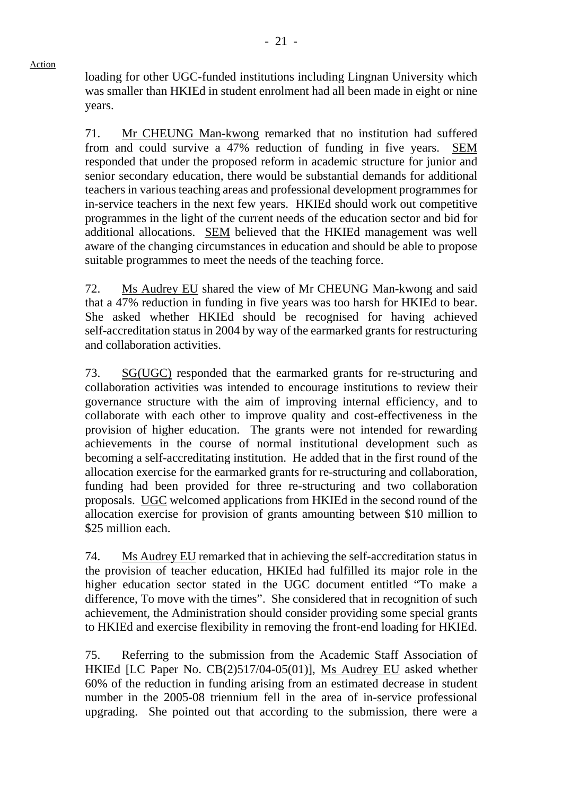loading for other UGC-funded institutions including Lingnan University which was smaller than HKIEd in student enrolment had all been made in eight or nine years.

71. Mr CHEUNG Man-kwong remarked that no institution had suffered from and could survive a 47% reduction of funding in five years. SEM responded that under the proposed reform in academic structure for junior and senior secondary education, there would be substantial demands for additional teachers in various teaching areas and professional development programmes for in-service teachers in the next few years. HKIEd should work out competitive programmes in the light of the current needs of the education sector and bid for additional allocations. SEM believed that the HKIEd management was well aware of the changing circumstances in education and should be able to propose suitable programmes to meet the needs of the teaching force.

72. Ms Audrey EU shared the view of Mr CHEUNG Man-kwong and said that a 47% reduction in funding in five years was too harsh for HKIEd to bear. She asked whether HKIEd should be recognised for having achieved self-accreditation status in 2004 by way of the earmarked grants for restructuring and collaboration activities.

73. SG(UGC) responded that the earmarked grants for re-structuring and collaboration activities was intended to encourage institutions to review their governance structure with the aim of improving internal efficiency, and to collaborate with each other to improve quality and cost-effectiveness in the provision of higher education. The grants were not intended for rewarding achievements in the course of normal institutional development such as becoming a self-accreditating institution. He added that in the first round of the allocation exercise for the earmarked grants for re-structuring and collaboration, funding had been provided for three re-structuring and two collaboration proposals. UGC welcomed applications from HKIEd in the second round of the allocation exercise for provision of grants amounting between \$10 million to \$25 million each.

74. Ms Audrey EU remarked that in achieving the self-accreditation status in the provision of teacher education, HKIEd had fulfilled its major role in the higher education sector stated in the UGC document entitled "To make a difference, To move with the times". She considered that in recognition of such achievement, the Administration should consider providing some special grants to HKIEd and exercise flexibility in removing the front-end loading for HKIEd.

75. Referring to the submission from the Academic Staff Association of HKIEd [LC Paper No. CB(2)517/04-05(01)], Ms Audrey EU asked whether 60% of the reduction in funding arising from an estimated decrease in student number in the 2005-08 triennium fell in the area of in-service professional upgrading. She pointed out that according to the submission, there were a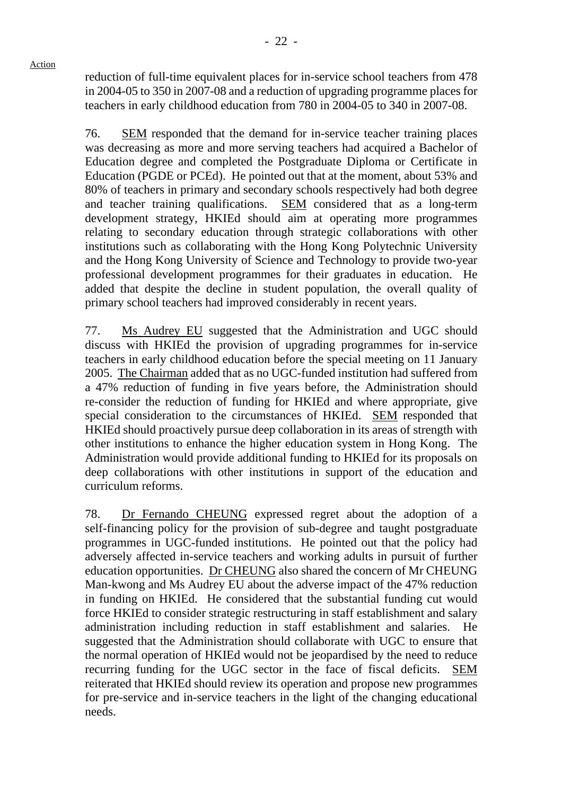reduction of full-time equivalent places for in-service school teachers from 478 in 2004-05 to 350 in 2007-08 and a reduction of upgrading programme places for teachers in early childhood education from 780 in 2004-05 to 340 in 2007-08.

- 22 -

76. SEM responded that the demand for in-service teacher training places was decreasing as more and more serving teachers had acquired a Bachelor of Education degree and completed the Postgraduate Diploma or Certificate in Education (PGDE or PCEd). He pointed out that at the moment, about 53% and 80% of teachers in primary and secondary schools respectively had both degree and teacher training qualifications. SEM considered that as a long-term development strategy, HKIEd should aim at operating more programmes relating to secondary education through strategic collaborations with other institutions such as collaborating with the Hong Kong Polytechnic University and the Hong Kong University of Science and Technology to provide two-year professional development programmes for their graduates in education. He added that despite the decline in student population, the overall quality of primary school teachers had improved considerably in recent years.

77. Ms Audrey EU suggested that the Administration and UGC should discuss with HKIEd the provision of upgrading programmes for in-service teachers in early childhood education before the special meeting on 11 January 2005. The Chairman added that as no UGC-funded institution had suffered from a 47% reduction of funding in five years before, the Administration should re-consider the reduction of funding for HKIEd and where appropriate, give special consideration to the circumstances of HKIEd. SEM responded that HKIEd should proactively pursue deep collaboration in its areas of strength with other institutions to enhance the higher education system in Hong Kong. The Administration would provide additional funding to HKIEd for its proposals on deep collaborations with other institutions in support of the education and curriculum reforms.

78. Dr Fernando CHEUNG expressed regret about the adoption of a self-financing policy for the provision of sub-degree and taught postgraduate programmes in UGC-funded institutions. He pointed out that the policy had adversely affected in-service teachers and working adults in pursuit of further education opportunities. Dr CHEUNG also shared the concern of Mr CHEUNG Man-kwong and Ms Audrey EU about the adverse impact of the 47% reduction in funding on HKIEd. He considered that the substantial funding cut would force HKIEd to consider strategic restructuring in staff establishment and salary administration including reduction in staff establishment and salaries. He suggested that the Administration should collaborate with UGC to ensure that the normal operation of HKIEd would not be jeopardised by the need to reduce recurring funding for the UGC sector in the face of fiscal deficits. SEM reiterated that HKIEd should review its operation and propose new programmes for pre-service and in-service teachers in the light of the changing educational needs.

Action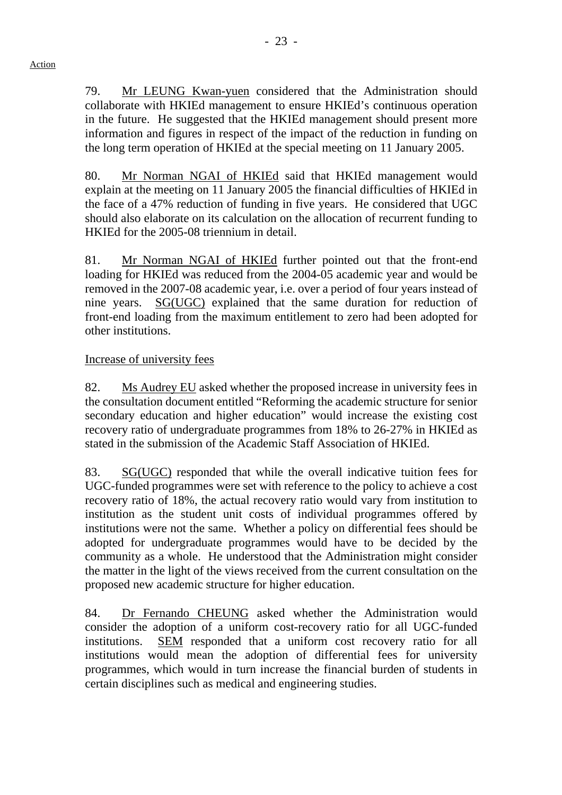79. Mr LEUNG Kwan-yuen considered that the Administration should collaborate with HKIEd management to ensure HKIEd's continuous operation in the future. He suggested that the HKIEd management should present more information and figures in respect of the impact of the reduction in funding on the long term operation of HKIEd at the special meeting on 11 January 2005.

80. Mr Norman NGAI of HKIEd said that HKIEd management would explain at the meeting on 11 January 2005 the financial difficulties of HKIEd in the face of a 47% reduction of funding in five years. He considered that UGC should also elaborate on its calculation on the allocation of recurrent funding to HKIEd for the 2005-08 triennium in detail.

81. Mr Norman NGAI of HKIEd further pointed out that the front-end loading for HKIEd was reduced from the 2004-05 academic year and would be removed in the 2007-08 academic year, i.e. over a period of four years instead of nine years. SG(UGC) explained that the same duration for reduction of front-end loading from the maximum entitlement to zero had been adopted for other institutions.

# Increase of university fees

82. Ms Audrey EU asked whether the proposed increase in university fees in the consultation document entitled "Reforming the academic structure for senior secondary education and higher education" would increase the existing cost recovery ratio of undergraduate programmes from 18% to 26-27% in HKIEd as stated in the submission of the Academic Staff Association of HKIEd.

83. SG(UGC) responded that while the overall indicative tuition fees for UGC-funded programmes were set with reference to the policy to achieve a cost recovery ratio of 18%, the actual recovery ratio would vary from institution to institution as the student unit costs of individual programmes offered by institutions were not the same. Whether a policy on differential fees should be adopted for undergraduate programmes would have to be decided by the community as a whole. He understood that the Administration might consider the matter in the light of the views received from the current consultation on the proposed new academic structure for higher education.

84. Dr Fernando CHEUNG asked whether the Administration would consider the adoption of a uniform cost-recovery ratio for all UGC-funded institutions. SEM responded that a uniform cost recovery ratio for all institutions would mean the adoption of differential fees for university programmes, which would in turn increase the financial burden of students in certain disciplines such as medical and engineering studies.